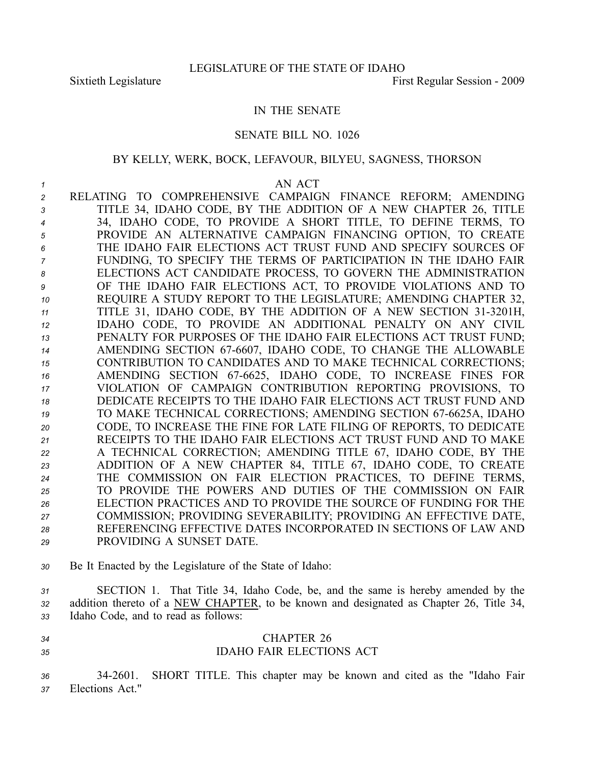## IN THE SENATE

## SENATE BILL NO. 1026

### BY KELLY, WERK, BOCK, LEFAVOUR, BILYEU, SAGNESS, THORSON

#### *1* AN ACT

 RELATING TO COMPREHENSIVE CAMPAIGN FINANCE REFORM; AMENDING TITLE 34, IDAHO CODE, BY THE ADDITION OF A NEW CHAPTER 26, TITLE 34, IDAHO CODE, TO PROVIDE A SHORT TITLE, TO DEFINE TERMS, TO PROVIDE AN ALTERNATIVE CAMPAIGN FINANCING OPTION, TO CREATE THE IDAHO FAIR ELECTIONS ACT TRUST FUND AND SPECIFY SOURCES OF FUNDING, TO SPECIFY THE TERMS OF PARTICIPATION IN THE IDAHO FAIR ELECTIONS ACT CANDIDATE PROCESS, TO GOVERN THE ADMINISTRATION OF THE IDAHO FAIR ELECTIONS ACT, TO PROVIDE VIOLATIONS AND TO REQUIRE A STUDY REPORT TO THE LEGISLATURE; AMENDING CHAPTER 32, TITLE 31, IDAHO CODE, BY THE ADDITION OF A NEW SECTION 313201H, IDAHO CODE, TO PROVIDE AN ADDITIONAL PENALTY ON ANY CIVIL PENALTY FOR PURPOSES OF THE IDAHO FAIR ELECTIONS ACT TRUST FUND; 14 AMENDING SECTION 67-6607, IDAHO CODE, TO CHANGE THE ALLOWABLE CONTRIBUTION TO CANDIDATES AND TO MAKE TECHNICAL CORRECTIONS; 16 AMENDING SECTION 67-6625, IDAHO CODE, TO INCREASE FINES FOR VIOLATION OF CAMPAIGN CONTRIBUTION REPORTING PROVISIONS, TO DEDICATE RECEIPTS TO THE IDAHO FAIR ELECTIONS ACT TRUST FUND AND 19 TO MAKE TECHNICAL CORRECTIONS; AMENDING SECTION 67-6625A, IDAHO CODE, TO INCREASE THE FINE FOR LATE FILING OF REPORTS, TO DEDICATE RECEIPTS TO THE IDAHO FAIR ELECTIONS ACT TRUST FUND AND TO MAKE A TECHNICAL CORRECTION; AMENDING TITLE 67, IDAHO CODE, BY THE ADDITION OF A NEW CHAPTER 84, TITLE 67, IDAHO CODE, TO CREATE THE COMMISSION ON FAIR ELECTION PRACTICES, TO DEFINE TERMS, TO PROVIDE THE POWERS AND DUTIES OF THE COMMISSION ON FAIR ELECTION PRACTICES AND TO PROVIDE THE SOURCE OF FUNDING FOR THE COMMISSION; PROVIDING SEVERABILITY; PROVIDING AN EFFECTIVE DATE, REFERENCING EFFECTIVE DATES INCORPORATED IN SECTIONS OF LAW AND PROVIDING A SUNSET DATE.

*<sup>30</sup>* Be It Enacted by the Legislature of the State of Idaho:

*<sup>31</sup>* SECTION 1. That Title 34, Idaho Code, be, and the same is hereby amended by the *<sup>32</sup>* addition thereto of <sup>a</sup> NEW CHAPTER, to be known and designated as Chapter 26, Title 34, *<sup>33</sup>* Idaho Code, and to read as follows:

- 
- *34* CHAPTER 26 *35* IDAHO FAIR ELECTIONS ACT

*<sup>36</sup>* 342601. SHORT TITLE. This chapter may be known and cited as the "Idaho Fair *<sup>37</sup>* Elections Act."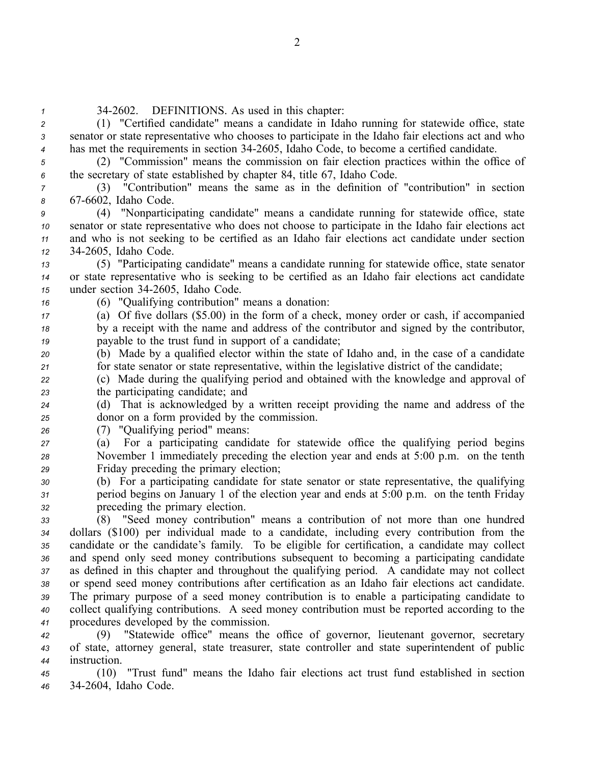- *<sup>1</sup>* 342602. DEFINITIONS. As used in this chapter: *<sup>2</sup>* (1) "Certified candidate" means <sup>a</sup> candidate in Idaho running for statewide office, state *<sup>3</sup>* senator or state representative who chooses to participate in the Idaho fair elections act and who *<sup>4</sup>* has met the requirements in section 342605, Idaho Code, to become <sup>a</sup> certified candidate.
- 

*<sup>5</sup>* (2) "Commission" means the commission on fair election practices within the office of *<sup>6</sup>* the secretary of state established by chapter 84, title 67, Idaho Code.

*<sup>7</sup>* (3) "Contribution" means the same as in the definition of "contribution" in section 8 67-6602, Idaho Code.

 (4) "Nonparticipating candidate" means <sup>a</sup> candidate running for statewide office, state senator or state representative who does not choose to participate in the Idaho fair elections act and who is not seeking to be certified as an Idaho fair elections act candidate under section 342605, Idaho Code.

*<sup>13</sup>* (5) "Participating candidate" means <sup>a</sup> candidate running for statewide office, state senator *<sup>14</sup>* or state representative who is seeking to be certified as an Idaho fair elections act candidate *<sup>15</sup>* under section 342605, Idaho Code.

*<sup>16</sup>* (6) "Qualifying contribution" means <sup>a</sup> donation:

*<sup>17</sup>* (a) Of five dollars (\$5.00) in the form of <sup>a</sup> check, money order or cash, if accompanied *<sup>18</sup>* by <sup>a</sup> receipt with the name and address of the contributor and signed by the contributor, *<sup>19</sup>* payable to the trust fund in suppor<sup>t</sup> of <sup>a</sup> candidate;

*<sup>20</sup>* (b) Made by <sup>a</sup> qualified elector within the state of Idaho and, in the case of <sup>a</sup> candidate *<sup>21</sup>* for state senator or state representative, within the legislative district of the candidate;

*<sup>22</sup>* (c) Made during the qualifying period and obtained with the knowledge and approval of *<sup>23</sup>* the participating candidate; and

*<sup>24</sup>* (d) That is acknowledged by <sup>a</sup> written receipt providing the name and address of the *<sup>25</sup>* donor on <sup>a</sup> form provided by the commission.

*<sup>26</sup>* (7) "Qualifying period" means:

*<sup>27</sup>* (a) For <sup>a</sup> participating candidate for statewide office the qualifying period begins *<sup>28</sup>* November 1 immediately preceding the election year and ends at 5:00 p.m. on the tenth *<sup>29</sup>* Friday preceding the primary election;

*<sup>30</sup>* (b) For <sup>a</sup> participating candidate for state senator or state representative, the qualifying *<sup>31</sup>* period begins on January 1 of the election year and ends at 5:00 p.m. on the tenth Friday *<sup>32</sup>* preceding the primary election.

 (8) "Seed money contribution" means <sup>a</sup> contribution of not more than one hundred dollars (\$100) per individual made to <sup>a</sup> candidate, including every contribution from the candidate or the candidate's family. To be eligible for certification, <sup>a</sup> candidate may collect and spend only seed money contributions subsequent to becoming <sup>a</sup> participating candidate as defined in this chapter and throughout the qualifying period. A candidate may not collect or spend seed money contributions after certification as an Idaho fair elections act candidate. The primary purpose of <sup>a</sup> seed money contribution is to enable <sup>a</sup> participating candidate to collect qualifying contributions. A seed money contribution must be reported according to the procedures developed by the commission.

*<sup>42</sup>* (9) "Statewide office" means the office of governor, lieutenant governor, secretary *<sup>43</sup>* of state, attorney general, state treasurer, state controller and state superintendent of public *<sup>44</sup>* instruction.

*<sup>45</sup>* (10) "Trust fund" means the Idaho fair elections act trust fund established in section *<sup>46</sup>* 342604, Idaho Code.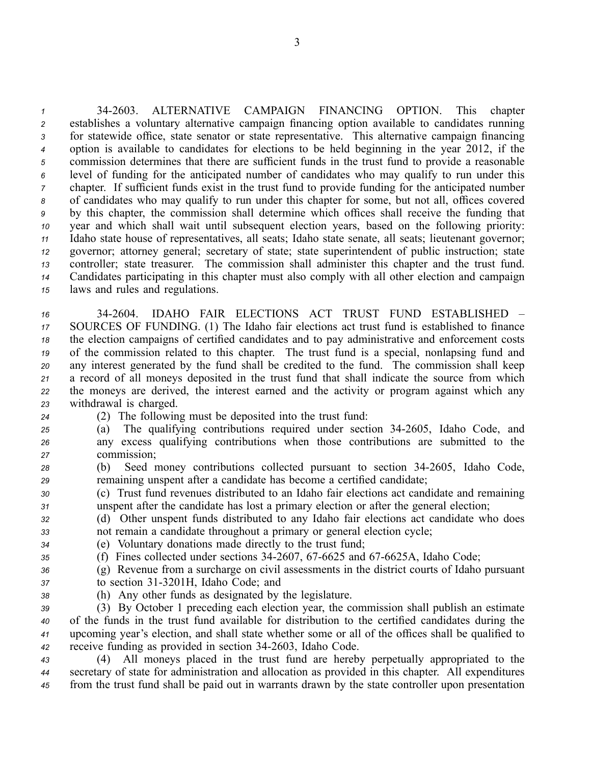342603. ALTERNATIVE CAMPAIGN FINANCING OPTION. This chapter establishes <sup>a</sup> voluntary alternative campaign financing option available to candidates running for statewide office, state senator or state representative. This alternative campaign financing option is available to candidates for elections to be held beginning in the year 2012, if the commission determines that there are sufficient funds in the trust fund to provide <sup>a</sup> reasonable level of funding for the anticipated number of candidates who may qualify to run under this chapter. If sufficient funds exist in the trust fund to provide funding for the anticipated number of candidates who may qualify to run under this chapter for some, but not all, offices covered by this chapter, the commission shall determine which offices shall receive the funding that year and which shall wait until subsequent election years, based on the following priority: Idaho state house of representatives, all seats; Idaho state senate, all seats; lieutenant governor; governor; attorney general; secretary of state; state superintendent of public instruction; state controller; state treasurer. The commission shall administer this chapter and the trust fund. Candidates participating in this chapter must also comply with all other election and campaign laws and rules and regulations.

 342604. IDAHO FAIR ELECTIONS ACT TRUST FUND ESTABLISHED – SOURCES OF FUNDING. (1) The Idaho fair elections act trust fund is established to finance the election campaigns of certified candidates and to pay administrative and enforcement costs of the commission related to this chapter. The trust fund is <sup>a</sup> special, nonlapsing fund and any interest generated by the fund shall be credited to the fund. The commission shall keep <sup>a</sup> record of all moneys deposited in the trust fund that shall indicate the source from which the moneys are derived, the interest earned and the activity or program against which any withdrawal is charged.

- 
- *<sup>24</sup>* (2) The following must be deposited into the trust fund:
- *<sup>25</sup>* (a) The qualifying contributions required under section 342605, Idaho Code, and *<sup>26</sup>* any excess qualifying contributions when those contributions are submitted to the *<sup>27</sup>* commission;
- *<sup>28</sup>* (b) Seed money contributions collected pursuan<sup>t</sup> to section 342605, Idaho Code, *<sup>29</sup>* remaining unspen<sup>t</sup> after <sup>a</sup> candidate has become <sup>a</sup> certified candidate;
- *<sup>30</sup>* (c) Trust fund revenues distributed to an Idaho fair elections act candidate and remaining *<sup>31</sup>* unspen<sup>t</sup> after the candidate has lost <sup>a</sup> primary election or after the general election;

*<sup>32</sup>* (d) Other unspen<sup>t</sup> funds distributed to any Idaho fair elections act candidate who does *<sup>33</sup>* not remain <sup>a</sup> candidate throughout <sup>a</sup> primary or general election cycle;

- *<sup>34</sup>* (e) Voluntary donations made directly to the trust fund;
- *35* (f) Fines collected under sections 34-2607, 67-6625 and 67-6625A, Idaho Code;
- *<sup>36</sup>* (g) Revenue from <sup>a</sup> surcharge on civil assessments in the district courts of Idaho pursuan<sup>t</sup> *<sup>37</sup>* to section 313201H, Idaho Code; and
- 
- *<sup>38</sup>* (h) Any other funds as designated by the legislature.

 (3) By October 1 preceding each election year, the commission shall publish an estimate of the funds in the trust fund available for distribution to the certified candidates during the upcoming year's election, and shall state whether some or all of the offices shall be qualified to receive funding as provided in section 342603, Idaho Code.

*<sup>43</sup>* (4) All moneys placed in the trust fund are hereby perpetually appropriated to the *<sup>44</sup>* secretary of state for administration and allocation as provided in this chapter. All expenditures *<sup>45</sup>* from the trust fund shall be paid out in warrants drawn by the state controller upon presentation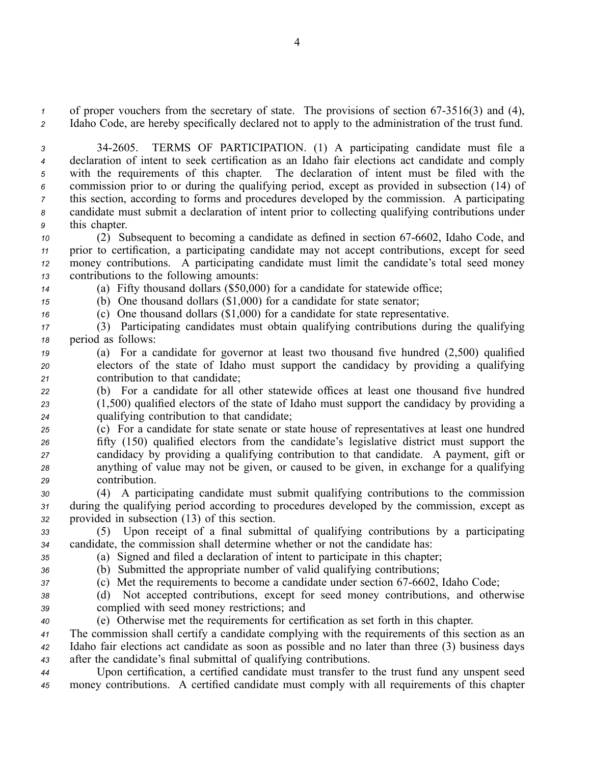*1* of proper vouchers from the secretary of state. The provisions of section 67-3516(3) and (4), *<sup>2</sup>* Idaho Code, are hereby specifically declared not to apply to the administration of the trust fund.

 342605. TERMS OF PARTICIPATION. (1) A participating candidate must file <sup>a</sup> declaration of intent to seek certification as an Idaho fair elections act candidate and comply with the requirements of this chapter. The declaration of intent must be filed with the commission prior to or during the qualifying period, excep<sup>t</sup> as provided in subsection (14) of this section, according to forms and procedures developed by the commission. A participating candidate must submit <sup>a</sup> declaration of intent prior to collecting qualifying contributions under this chapter.

 (2) Subsequent to becoming a candidate as defined in section 67-6602, Idaho Code, and prior to certification, <sup>a</sup> participating candidate may not accep<sup>t</sup> contributions, excep<sup>t</sup> for seed money contributions. A participating candidate must limit the candidate's total seed money contributions to the following amounts:

*<sup>14</sup>* (a) Fifty thousand dollars (\$50,000) for <sup>a</sup> candidate for statewide office;

*<sup>15</sup>* (b) One thousand dollars (\$1,000) for <sup>a</sup> candidate for state senator;

*<sup>16</sup>* (c) One thousand dollars (\$1,000) for <sup>a</sup> candidate for state representative.

*<sup>17</sup>* (3) Participating candidates must obtain qualifying contributions during the qualifying *<sup>18</sup>* period as follows:

*<sup>19</sup>* (a) For <sup>a</sup> candidate for governor at least two thousand five hundred (2,500) qualified *<sup>20</sup>* electors of the state of Idaho must suppor<sup>t</sup> the candidacy by providing <sup>a</sup> qualifying *<sup>21</sup>* contribution to that candidate;

*<sup>22</sup>* (b) For <sup>a</sup> candidate for all other statewide offices at least one thousand five hundred *<sup>23</sup>* (1,500) qualified electors of the state of Idaho must suppor<sup>t</sup> the candidacy by providing <sup>a</sup> *<sup>24</sup>* qualifying contribution to that candidate;

 (c) For <sup>a</sup> candidate for state senate or state house of representatives at least one hundred fifty (150) qualified electors from the candidate's legislative district must suppor<sup>t</sup> the candidacy by providing <sup>a</sup> qualifying contribution to that candidate. A payment, gift or anything of value may not be given, or caused to be given, in exchange for <sup>a</sup> qualifying contribution.

*<sup>30</sup>* (4) A participating candidate must submit qualifying contributions to the commission *<sup>31</sup>* during the qualifying period according to procedures developed by the commission, excep<sup>t</sup> as *<sup>32</sup>* provided in subsection (13) of this section.

*<sup>33</sup>* (5) Upon receipt of <sup>a</sup> final submittal of qualifying contributions by <sup>a</sup> participating *<sup>34</sup>* candidate, the commission shall determine whether or not the candidate has:

*<sup>35</sup>* (a) Signed and filed <sup>a</sup> declaration of intent to participate in this chapter; *<sup>36</sup>* (b) Submitted the appropriate number of valid qualifying contributions;

*37* (c) Met the requirements to become a candidate under section 67-6602, Idaho Code;

*<sup>38</sup>* (d) Not accepted contributions, excep<sup>t</sup> for seed money contributions, and otherwise *<sup>39</sup>* complied with seed money restrictions; and

*<sup>40</sup>* (e) Otherwise met the requirements for certification as set forth in this chapter.

*<sup>41</sup>* The commission shall certify <sup>a</sup> candidate complying with the requirements of this section as an *<sup>42</sup>* Idaho fair elections act candidate as soon as possible and no later than three (3) business days *<sup>43</sup>* after the candidate's final submittal of qualifying contributions.

*<sup>44</sup>* Upon certification, <sup>a</sup> certified candidate must transfer to the trust fund any unspen<sup>t</sup> seed *<sup>45</sup>* money contributions. A certified candidate must comply with all requirements of this chapter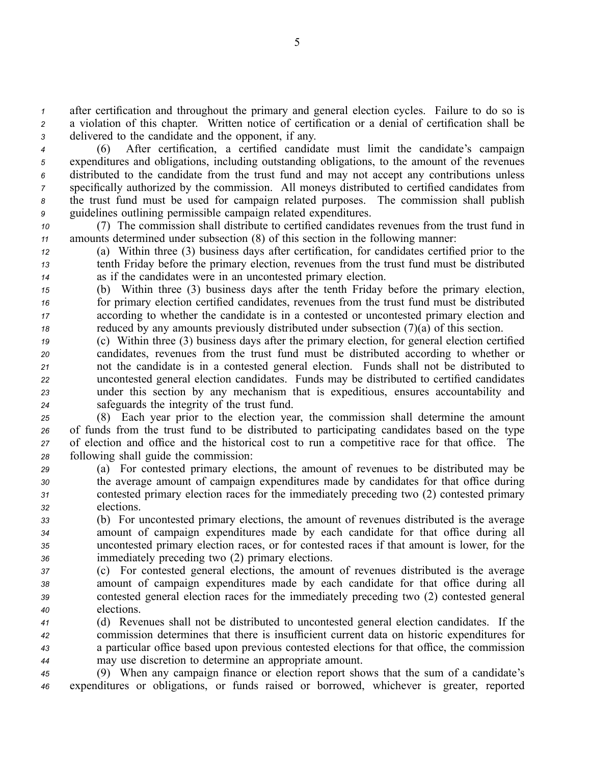*<sup>1</sup>* after certification and throughout the primary and general election cycles. Failure to do so is *<sup>2</sup>* <sup>a</sup> violation of this chapter. Written notice of certification or <sup>a</sup> denial of certification shall be *<sup>3</sup>* delivered to the candidate and the opponent, if any.

 (6) After certification, <sup>a</sup> certified candidate must limit the candidate's campaign expenditures and obligations, including outstanding obligations, to the amount of the revenues distributed to the candidate from the trust fund and may not accep<sup>t</sup> any contributions unless specifically authorized by the commission. All moneys distributed to certified candidates from the trust fund must be used for campaign related purposes. The commission shall publish guidelines outlining permissible campaign related expenditures.

*<sup>10</sup>* (7) The commission shall distribute to certified candidates revenues from the trust fund in *<sup>11</sup>* amounts determined under subsection (8) of this section in the following manner:

*<sup>12</sup>* (a) Within three (3) business days after certification, for candidates certified prior to the *<sup>13</sup>* tenth Friday before the primary election, revenues from the trust fund must be distributed *<sup>14</sup>* as if the candidates were in an uncontested primary election.

 (b) Within three (3) business days after the tenth Friday before the primary election, for primary election certified candidates, revenues from the trust fund must be distributed according to whether the candidate is in <sup>a</sup> contested or uncontested primary election and reduced by any amounts previously distributed under subsection (7)(a) of this section.

 (c) Within three (3) business days after the primary election, for general election certified candidates, revenues from the trust fund must be distributed according to whether or not the candidate is in <sup>a</sup> contested general election. Funds shall not be distributed to uncontested general election candidates. Funds may be distributed to certified candidates under this section by any mechanism that is expeditious, ensures accountability and safeguards the integrity of the trust fund.

 (8) Each year prior to the election year, the commission shall determine the amount of funds from the trust fund to be distributed to participating candidates based on the type of election and office and the historical cost to run <sup>a</sup> competitive race for that office. The following shall guide the commission:

 (a) For contested primary elections, the amount of revenues to be distributed may be the average amount of campaign expenditures made by candidates for that office during contested primary election races for the immediately preceding two (2) contested primary elections.

 (b) For uncontested primary elections, the amount of revenues distributed is the average amount of campaign expenditures made by each candidate for that office during all uncontested primary election races, or for contested races if that amount is lower, for the immediately preceding two (2) primary elections.

 (c) For contested general elections, the amount of revenues distributed is the average amount of campaign expenditures made by each candidate for that office during all contested general election races for the immediately preceding two (2) contested general elections.

 (d) Revenues shall not be distributed to uncontested general election candidates. If the commission determines that there is insufficient current data on historic expenditures for <sup>a</sup> particular office based upon previous contested elections for that office, the commission may use discretion to determine an appropriate amount.

*<sup>45</sup>* (9) When any campaign finance or election repor<sup>t</sup> shows that the sum of <sup>a</sup> candidate's *<sup>46</sup>* expenditures or obligations, or funds raised or borrowed, whichever is greater, reported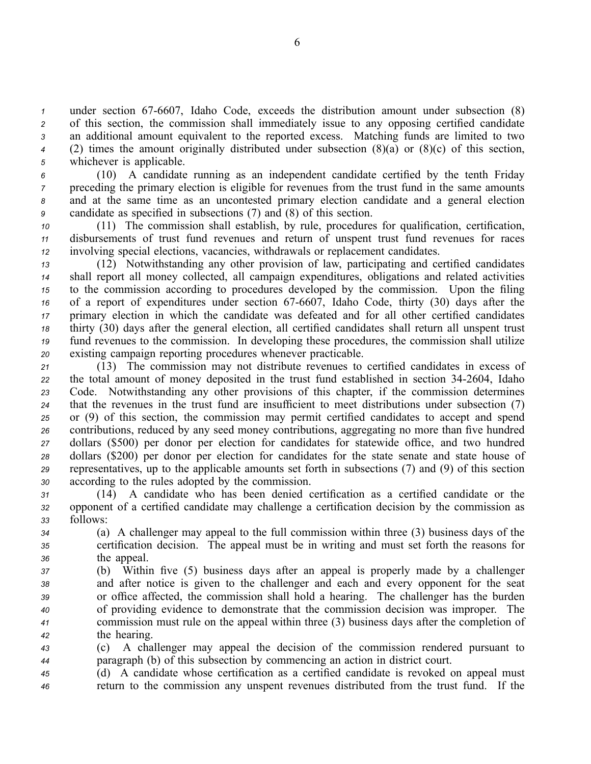under section 67-6607, Idaho Code, exceeds the distribution amount under subsection (8) of this section, the commission shall immediately issue to any opposing certified candidate an additional amount equivalent to the reported excess. Matching funds are limited to two (2) times the amount originally distributed under subsection (8)(a) or (8)(c) of this section, whichever is applicable.

 (10) A candidate running as an independent candidate certified by the tenth Friday preceding the primary election is eligible for revenues from the trust fund in the same amounts and at the same time as an uncontested primary election candidate and <sup>a</sup> general election candidate as specified in subsections (7) and (8) of this section.

*<sup>10</sup>* (11) The commission shall establish, by rule, procedures for qualification, certification, *<sup>11</sup>* disbursements of trust fund revenues and return of unspen<sup>t</sup> trust fund revenues for races *<sup>12</sup>* involving special elections, vacancies, withdrawals or replacement candidates.

 (12) Notwithstanding any other provision of law, participating and certified candidates shall repor<sup>t</sup> all money collected, all campaign expenditures, obligations and related activities to the commission according to procedures developed by the commission. Upon the filing 16 of a report of expenditures under section 67-6607, Idaho Code, thirty (30) days after the primary election in which the candidate was defeated and for all other certified candidates thirty (30) days after the general election, all certified candidates shall return all unspen<sup>t</sup> trust fund revenues to the commission. In developing these procedures, the commission shall utilize existing campaign reporting procedures whenever practicable.

 (13) The commission may not distribute revenues to certified candidates in excess of 22 the total amount of money deposited in the trust fund established in section 34-2604, Idaho Code. Notwithstanding any other provisions of this chapter, if the commission determines that the revenues in the trust fund are insufficient to meet distributions under subsection (7) or (9) of this section, the commission may permit certified candidates to accep<sup>t</sup> and spend contributions, reduced by any seed money contributions, aggregating no more than five hundred dollars (\$500) per donor per election for candidates for statewide office, and two hundred dollars (\$200) per donor per election for candidates for the state senate and state house of representatives, up to the applicable amounts set forth in subsections (7) and (9) of this section according to the rules adopted by the commission.

*<sup>31</sup>* (14) A candidate who has been denied certification as <sup>a</sup> certified candidate or the *<sup>32</sup>* opponen<sup>t</sup> of <sup>a</sup> certified candidate may challenge <sup>a</sup> certification decision by the commission as *<sup>33</sup>* follows:

*<sup>34</sup>* (a) A challenger may appeal to the full commission within three (3) business days of the *<sup>35</sup>* certification decision. The appeal must be in writing and must set forth the reasons for *<sup>36</sup>* the appeal.

 (b) Within five (5) business days after an appeal is properly made by <sup>a</sup> challenger and after notice is given to the challenger and each and every opponen<sup>t</sup> for the seat or office affected, the commission shall hold <sup>a</sup> hearing. The challenger has the burden of providing evidence to demonstrate that the commission decision was improper. The commission must rule on the appeal within three (3) business days after the completion of the hearing.

*<sup>43</sup>* (c) A challenger may appeal the decision of the commission rendered pursuan<sup>t</sup> to *<sup>44</sup>* paragraph (b) of this subsection by commencing an action in district court.

*<sup>45</sup>* (d) A candidate whose certification as <sup>a</sup> certified candidate is revoked on appeal must *<sup>46</sup>* return to the commission any unspen<sup>t</sup> revenues distributed from the trust fund. If the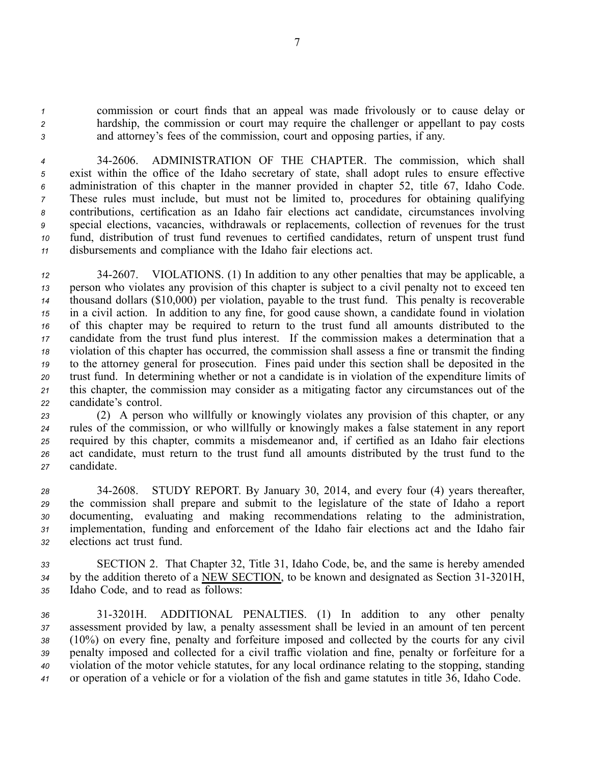*<sup>1</sup>* commission or court finds that an appeal was made frivolously or to cause delay or *<sup>2</sup>* hardship, the commission or court may require the challenger or appellant to pay costs *<sup>3</sup>* and attorney's fees of the commission, court and opposing parties, if any.

 342606. ADMINISTRATION OF THE CHAPTER. The commission, which shall exist within the office of the Idaho secretary of state, shall adopt rules to ensure effective administration of this chapter in the manner provided in chapter 52, title 67, Idaho Code. These rules must include, but must not be limited to, procedures for obtaining qualifying contributions, certification as an Idaho fair elections act candidate, circumstances involving special elections, vacancies, withdrawals or replacements, collection of revenues for the trust fund, distribution of trust fund revenues to certified candidates, return of unspen<sup>t</sup> trust fund disbursements and compliance with the Idaho fair elections act.

 342607. VIOLATIONS. (1) In addition to any other penalties that may be applicable, <sup>a</sup> person who violates any provision of this chapter is subject to <sup>a</sup> civil penalty not to exceed ten thousand dollars (\$10,000) per violation, payable to the trust fund. This penalty is recoverable in <sup>a</sup> civil action. In addition to any fine, for good cause shown, <sup>a</sup> candidate found in violation of this chapter may be required to return to the trust fund all amounts distributed to the candidate from the trust fund plus interest. If the commission makes <sup>a</sup> determination that <sup>a</sup> violation of this chapter has occurred, the commission shall assess <sup>a</sup> fine or transmit the finding to the attorney general for prosecution. Fines paid under this section shall be deposited in the trust fund. In determining whether or not <sup>a</sup> candidate is in violation of the expenditure limits of this chapter, the commission may consider as <sup>a</sup> mitigating factor any circumstances out of the candidate's control.

 (2) A person who willfully or knowingly violates any provision of this chapter, or any rules of the commission, or who willfully or knowingly makes <sup>a</sup> false statement in any repor<sup>t</sup> required by this chapter, commits <sup>a</sup> misdemeanor and, if certified as an Idaho fair elections act candidate, must return to the trust fund all amounts distributed by the trust fund to the candidate.

 342608. STUDY REPORT. By January 30, 2014, and every four (4) years thereafter, the commission shall prepare and submit to the legislature of the state of Idaho <sup>a</sup> repor<sup>t</sup> documenting, evaluating and making recommendations relating to the administration, implementation, funding and enforcement of the Idaho fair elections act and the Idaho fair elections act trust fund.

*<sup>33</sup>* SECTION 2. That Chapter 32, Title 31, Idaho Code, be, and the same is hereby amended 34 by the addition thereto of a NEW SECTION, to be known and designated as Section 31-3201H, *<sup>35</sup>* Idaho Code, and to read as follows:

 313201H. ADDITIONAL PENALTIES. (1) In addition to any other penalty assessment provided by law, <sup>a</sup> penalty assessment shall be levied in an amount of ten percen<sup>t</sup> (10%) on every fine, penalty and forfeiture imposed and collected by the courts for any civil penalty imposed and collected for <sup>a</sup> civil traffic violation and fine, penalty or forfeiture for <sup>a</sup> violation of the motor vehicle statutes, for any local ordinance relating to the stopping, standing or operation of <sup>a</sup> vehicle or for <sup>a</sup> violation of the fish and game statutes in title 36, Idaho Code.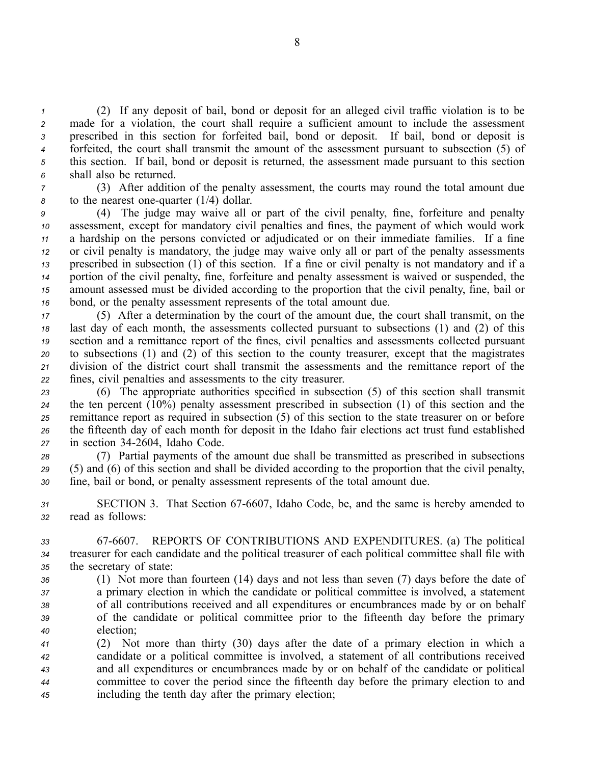(2) If any deposit of bail, bond or deposit for an alleged civil traffic violation is to be made for <sup>a</sup> violation, the court shall require <sup>a</sup> sufficient amount to include the assessment prescribed in this section for forfeited bail, bond or deposit. If bail, bond or deposit is forfeited, the court shall transmit the amount of the assessment pursuan<sup>t</sup> to subsection (5) of this section. If bail, bond or deposit is returned, the assessment made pursuan<sup>t</sup> to this section shall also be returned.

*<sup>7</sup>* (3) After addition of the penalty assessment, the courts may round the total amount due *8* to the nearest one-quarter (1/4) dollar.

 (4) The judge may waive all or par<sup>t</sup> of the civil penalty, fine, forfeiture and penalty assessment, excep<sup>t</sup> for mandatory civil penalties and fines, the paymen<sup>t</sup> of which would work <sup>a</sup> hardship on the persons convicted or adjudicated or on their immediate families. If <sup>a</sup> fine or civil penalty is mandatory, the judge may waive only all or par<sup>t</sup> of the penalty assessments prescribed in subsection (1) of this section. If <sup>a</sup> fine or civil penalty is not mandatory and if <sup>a</sup> portion of the civil penalty, fine, forfeiture and penalty assessment is waived or suspended, the amount assessed must be divided according to the proportion that the civil penalty, fine, bail or bond, or the penalty assessment represents of the total amount due.

 (5) After <sup>a</sup> determination by the court of the amount due, the court shall transmit, on the last day of each month, the assessments collected pursuan<sup>t</sup> to subsections (1) and (2) of this section and <sup>a</sup> remittance repor<sup>t</sup> of the fines, civil penalties and assessments collected pursuan<sup>t</sup> to subsections (1) and (2) of this section to the county treasurer, excep<sup>t</sup> that the magistrates division of the district court shall transmit the assessments and the remittance repor<sup>t</sup> of the fines, civil penalties and assessments to the city treasurer.

 (6) The appropriate authorities specified in subsection (5) of this section shall transmit the ten percen<sup>t</sup> (10%) penalty assessment prescribed in subsection (1) of this section and the remittance repor<sup>t</sup> as required in subsection (5) of this section to the state treasurer on or before the fifteenth day of each month for deposit in the Idaho fair elections act trust fund established in section 342604, Idaho Code.

*<sup>28</sup>* (7) Partial payments of the amount due shall be transmitted as prescribed in subsections *<sup>29</sup>* (5) and (6) of this section and shall be divided according to the proportion that the civil penalty, *<sup>30</sup>* fine, bail or bond, or penalty assessment represents of the total amount due.

31 SECTION 3. That Section 67-6607, Idaho Code, be, and the same is hereby amended to *<sup>32</sup>* read as follows:

*<sup>33</sup>* 676607. REPORTS OF CONTRIBUTIONS AND EXPENDITURES. (a) The political *<sup>34</sup>* treasurer for each candidate and the political treasurer of each political committee shall file with *<sup>35</sup>* the secretary of state:

 (1) Not more than fourteen (14) days and not less than seven (7) days before the date of <sup>a</sup> primary election in which the candidate or political committee is involved, <sup>a</sup> statement of all contributions received and all expenditures or encumbrances made by or on behalf of the candidate or political committee prior to the fifteenth day before the primary election;

 (2) Not more than thirty (30) days after the date of <sup>a</sup> primary election in which <sup>a</sup> candidate or <sup>a</sup> political committee is involved, <sup>a</sup> statement of all contributions received and all expenditures or encumbrances made by or on behalf of the candidate or political committee to cover the period since the fifteenth day before the primary election to and including the tenth day after the primary election;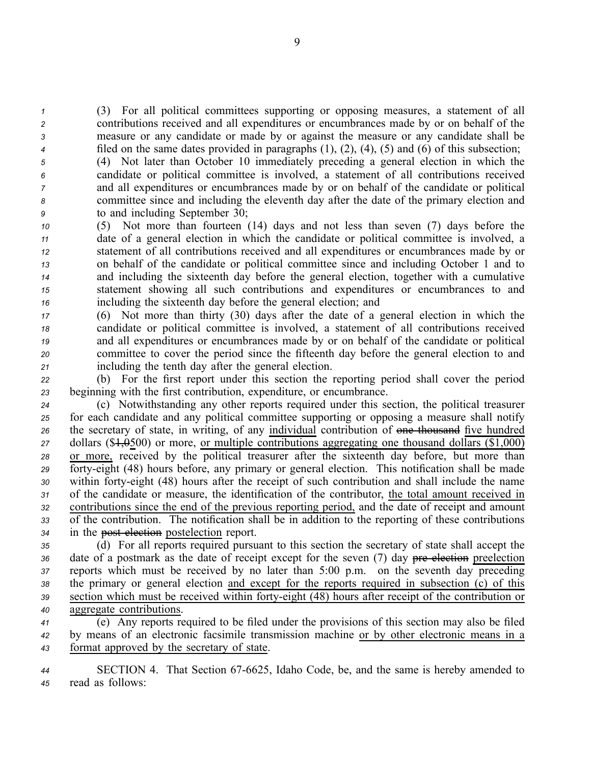(3) For all political committees supporting or opposing measures, <sup>a</sup> statement of all contributions received and all expenditures or encumbrances made by or on behalf of the measure or any candidate or made by or against the measure or any candidate shall be filed on the same dates provided in paragraphs (1), (2), (4), (5) and (6) of this subsection;

 (4) Not later than October 10 immediately preceding <sup>a</sup> general election in which the candidate or political committee is involved, <sup>a</sup> statement of all contributions received and all expenditures or encumbrances made by or on behalf of the candidate or political committee since and including the eleventh day after the date of the primary election and to and including September 30;

 (5) Not more than fourteen (14) days and not less than seven (7) days before the date of <sup>a</sup> general election in which the candidate or political committee is involved, <sup>a</sup> statement of all contributions received and all expenditures or encumbrances made by or on behalf of the candidate or political committee since and including October 1 and to and including the sixteenth day before the general election, together with <sup>a</sup> cumulative statement showing all such contributions and expenditures or encumbrances to and including the sixteenth day before the general election; and

 (6) Not more than thirty (30) days after the date of <sup>a</sup> general election in which the candidate or political committee is involved, <sup>a</sup> statement of all contributions received and all expenditures or encumbrances made by or on behalf of the candidate or political committee to cover the period since the fifteenth day before the general election to and including the tenth day after the general election.

*<sup>22</sup>* (b) For the first repor<sup>t</sup> under this section the reporting period shall cover the period *<sup>23</sup>* beginning with the first contribution, expenditure, or encumbrance.

 (c) Notwithstanding any other reports required under this section, the political treasurer for each candidate and any political committee supporting or opposing <sup>a</sup> measure shall notify the secretary of state, in writing, of any individual contribution of one thousand five hundred dollars (\$1,0500) or more, or multiple contributions aggregating one thousand dollars (\$1,000) or more, received by the political treasurer after the sixteenth day before, but more than forty-eight (48) hours before, any primary or general election. This notification shall be made within fortyeight (48) hours after the receipt of such contribution and shall include the name of the candidate or measure, the identification of the contributor, the total amount received in contributions since the end of the previous reporting period, and the date of receipt and amount of the contribution. The notification shall be in addition to the reporting of these contributions in the pos<sup>t</sup> election postelection report.

 (d) For all reports required pursuan<sup>t</sup> to this section the secretary of state shall accep<sup>t</sup> the 36 date of a postmark as the date of receipt except for the seven (7) day pre election preelection reports which must be received by no later than 5:00 p.m. on the seventh day preceding the primary or general election and excep<sup>t</sup> for the reports required in subsection (c) of this section which must be received within fortyeight (48) hours after receipt of the contribution or aggregate contributions.

*<sup>41</sup>* (e) Any reports required to be filed under the provisions of this section may also be filed *<sup>42</sup>* by means of an electronic facsimile transmission machine or by other electronic means in <sup>a</sup> *<sup>43</sup>* format approved by the secretary of state.

*<sup>44</sup>* SECTION 4. That Section 676625, Idaho Code, be, and the same is hereby amended to *<sup>45</sup>* read as follows: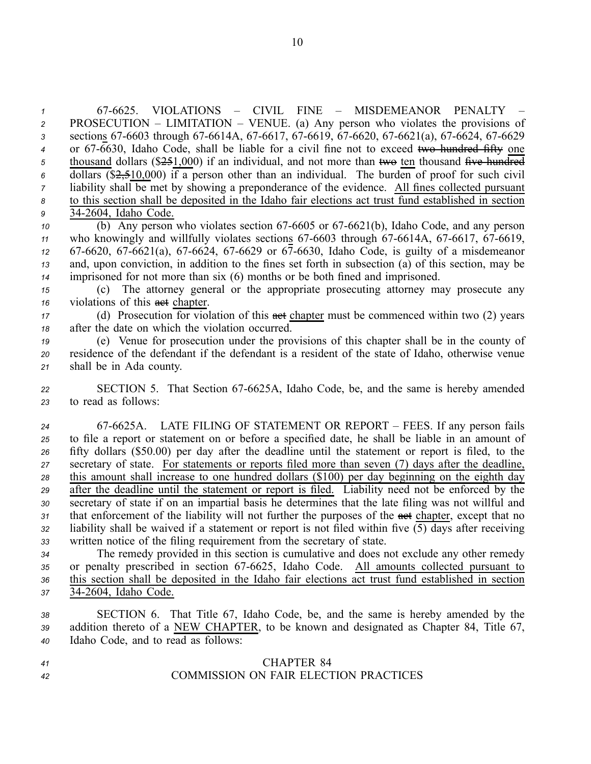676625. VIOLATIONS – CIVIL FINE – MISDEMEANOR PENALTY – PROSECUTION – LIMITATION – VENUE. (a) Any person who violates the provisions of 3 sections 67-6603 through 67-6614A, 67-6617, 67-6619, 67-6620, 67-6621(a), 67-6624, 67-6629 <sup>4</sup> or 67-6630, Idaho Code, shall be liable for a civil fine not to exceed two hundred fifty one 5 thousand dollars (\$2.51,000) if an individual, and not more than two ten thousand five hundred dollars (\$2,510,000) if <sup>a</sup> person other than an individual. The burden of proof for such civil liability shall be met by showing <sup>a</sup> preponderance of the evidence. All fines collected pursuan<sup>t</sup> to this section shall be deposited in the Idaho fair elections act trust fund established in section 342604, Idaho Code.

 (b) Any person who violates section 67-6605 or 67-6621(b), Idaho Code, and any person <sup>11</sup> who knowingly and willfully violates sections 67-6603 through 67-6614A, 67-6617, 67-6619, 67-6620, 67-6621(a), 67-6624, 67-6629 or 67-6630, Idaho Code, is guilty of a misdemeanor and, upon conviction, in addition to the fines set forth in subsection (a) of this section, may be imprisoned for not more than six (6) months or be both fined and imprisoned.

*<sup>15</sup>* (c) The attorney general or the appropriate prosecuting attorney may prosecute any *16* violations of this **act** chapter.

*<sup>17</sup>* (d) Prosecution for violation of this act chapter must be commenced within two (2) years *<sup>18</sup>* after the date on which the violation occurred.

*<sup>19</sup>* (e) Venue for prosecution under the provisions of this chapter shall be in the county of *<sup>20</sup>* residence of the defendant if the defendant is <sup>a</sup> resident of the state of Idaho, otherwise venue *<sup>21</sup>* shall be in Ada county.

22 **SECTION 5.** That Section 67-6625A, Idaho Code, be, and the same is hereby amended *<sup>23</sup>* to read as follows:

 676625A. LATE FILING OF STATEMENT OR REPORT – FEES. If any person fails to file <sup>a</sup> repor<sup>t</sup> or statement on or before <sup>a</sup> specified date, he shall be liable in an amount of fifty dollars (\$50.00) per day after the deadline until the statement or repor<sup>t</sup> is filed, to the secretary of state. For statements or reports filed more than seven (7) days after the deadline, this amount shall increase to one hundred dollars (\$100) per day beginning on the eighth day after the deadline until the statement or repor<sup>t</sup> is filed. Liability need not be enforced by the secretary of state if on an impartial basis he determines that the late filing was not willful and 31 that enforcement of the liability will not further the purposes of the <del>act</del> chapter, except that no liability shall be waived if <sup>a</sup> statement or repor<sup>t</sup> is not filed within five (5) days after receiving written notice of the filing requirement from the secretary of state.

 The remedy provided in this section is cumulative and does not exclude any other remedy 35 or penalty prescribed in section 67-6625, Idaho Code. All amounts collected pursuant to this section shall be deposited in the Idaho fair elections act trust fund established in section 342604, Idaho Code.

*<sup>38</sup>* SECTION 6. That Title 67, Idaho Code, be, and the same is hereby amended by the *<sup>39</sup>* addition thereto of <sup>a</sup> NEW CHAPTER, to be known and designated as Chapter 84, Title 67, *<sup>40</sup>* Idaho Code, and to read as follows:

# *<sup>41</sup>* CHAPTER 84 *<sup>42</sup>* COMMISSION ON FAIR ELECTION PRACTICES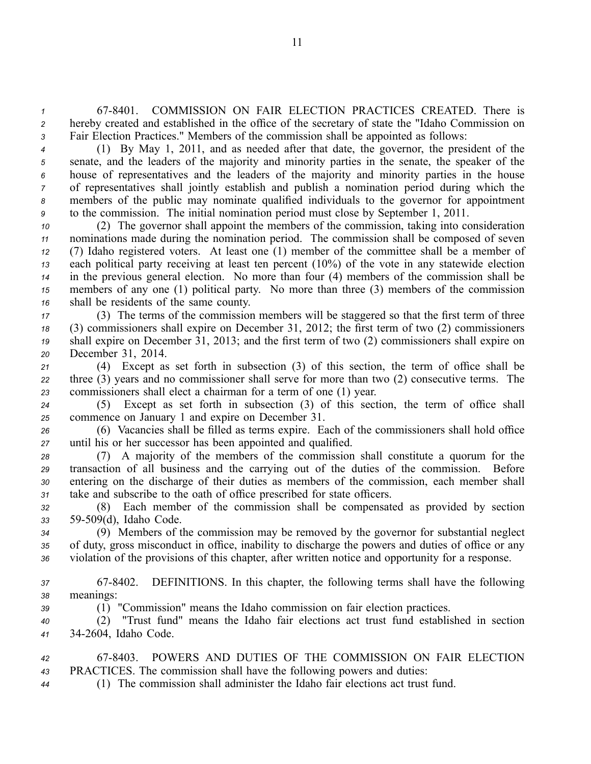*<sup>1</sup>* 678401. COMMISSION ON FAIR ELECTION PRACTICES CREATED. There is *<sup>2</sup>* hereby created and established in the office of the secretary of state the "Idaho Commission on *<sup>3</sup>* Fair Election Practices." Members of the commission shall be appointed as follows:

 (1) By May 1, 2011, and as needed after that date, the governor, the president of the senate, and the leaders of the majority and minority parties in the senate, the speaker of the house of representatives and the leaders of the majority and minority parties in the house of representatives shall jointly establish and publish <sup>a</sup> nomination period during which the members of the public may nominate qualified individuals to the governor for appointment to the commission. The initial nomination period must close by September 1, 2011.

 (2) The governor shall appoint the members of the commission, taking into consideration nominations made during the nomination period. The commission shall be composed of seven (7) Idaho registered voters. At least one (1) member of the committee shall be <sup>a</sup> member of each political party receiving at least ten percen<sup>t</sup> (10%) of the vote in any statewide election in the previous general election. No more than four (4) members of the commission shall be members of any one (1) political party. No more than three (3) members of the commission shall be residents of the same county.

 (3) The terms of the commission members will be staggered so that the first term of three (3) commissioners shall expire on December 31, 2012; the first term of two (2) commissioners shall expire on December 31, 2013; and the first term of two (2) commissioners shall expire on December 31, 2014.

*<sup>21</sup>* (4) Except as set forth in subsection (3) of this section, the term of office shall be *<sup>22</sup>* three (3) years and no commissioner shall serve for more than two (2) consecutive terms. The *<sup>23</sup>* commissioners shall elect <sup>a</sup> chairman for <sup>a</sup> term of one (1) year.

*<sup>24</sup>* (5) Except as set forth in subsection (3) of this section, the term of office shall *<sup>25</sup>* commence on January 1 and expire on December 31.

*<sup>26</sup>* (6) Vacancies shall be filled as terms expire. Each of the commissioners shall hold office *<sup>27</sup>* until his or her successor has been appointed and qualified.

 (7) A majority of the members of the commission shall constitute <sup>a</sup> quorum for the transaction of all business and the carrying out of the duties of the commission. Before entering on the discharge of their duties as members of the commission, each member shall take and subscribe to the oath of office prescribed for state officers.

*<sup>32</sup>* (8) Each member of the commission shall be compensated as provided by section *<sup>33</sup>* 59509(d), Idaho Code.

*<sup>34</sup>* (9) Members of the commission may be removed by the governor for substantial neglect *<sup>35</sup>* of duty, gross misconduct in office, inability to discharge the powers and duties of office or any *<sup>36</sup>* violation of the provisions of this chapter, after written notice and opportunity for <sup>a</sup> response.

*<sup>37</sup>* 678402. DEFINITIONS. In this chapter, the following terms shall have the following *<sup>38</sup>* meanings:

*<sup>39</sup>* (1) "Commission" means the Idaho commission on fair election practices.

*<sup>40</sup>* (2) "Trust fund" means the Idaho fair elections act trust fund established in section *<sup>41</sup>* 342604, Idaho Code.

*<sup>42</sup>* 678403. POWERS AND DUTIES OF THE COMMISSION ON FAIR ELECTION *<sup>43</sup>* PRACTICES. The commission shall have the following powers and duties:

*<sup>44</sup>* (1) The commission shall administer the Idaho fair elections act trust fund.